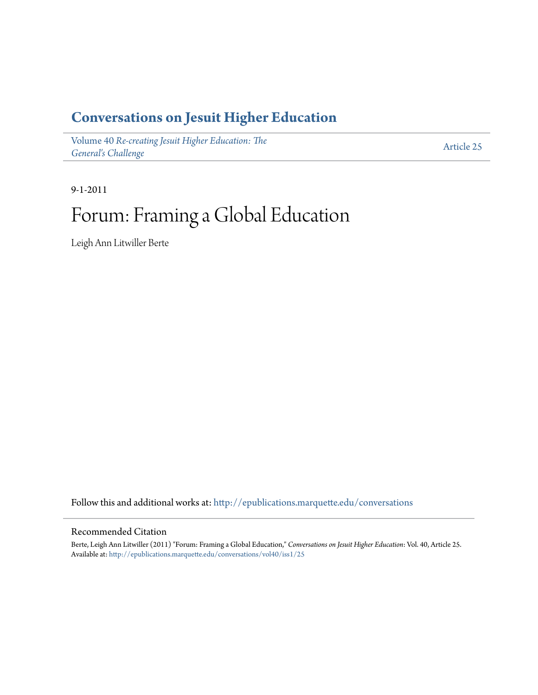### **[Conversations on Jesuit Higher Education](http://epublications.marquette.edu/conversations?utm_source=epublications.marquette.edu%2Fconversations%2Fvol40%2Fiss1%2F25&utm_medium=PDF&utm_campaign=PDFCoverPages)**

Volume 40 *[Re-creating Jesuit Higher Education: The](http://epublications.marquette.edu/conversations/vol40?utm_source=epublications.marquette.edu%2Fconversations%2Fvol40%2Fiss1%2F25&utm_medium=PDF&utm_campaign=PDFCoverPages) [General's Challenge](http://epublications.marquette.edu/conversations/vol40?utm_source=epublications.marquette.edu%2Fconversations%2Fvol40%2Fiss1%2F25&utm_medium=PDF&utm_campaign=PDFCoverPages)*

[Article 25](http://epublications.marquette.edu/conversations/vol40/iss1/25?utm_source=epublications.marquette.edu%2Fconversations%2Fvol40%2Fiss1%2F25&utm_medium=PDF&utm_campaign=PDFCoverPages)

9-1-2011

### Forum: Framing a Global Education

Leigh Ann Litwiller Berte

Follow this and additional works at: [http://epublications.marquette.edu/conversations](http://epublications.marquette.edu/conversations?utm_source=epublications.marquette.edu%2Fconversations%2Fvol40%2Fiss1%2F25&utm_medium=PDF&utm_campaign=PDFCoverPages)

#### Recommended Citation

Berte, Leigh Ann Litwiller (2011) "Forum: Framing a Global Education," *Conversations on Jesuit Higher Education*: Vol. 40, Article 25. Available at: [http://epublications.marquette.edu/conversations/vol40/iss1/25](http://epublications.marquette.edu/conversations/vol40/iss1/25?utm_source=epublications.marquette.edu%2Fconversations%2Fvol40%2Fiss1%2F25&utm_medium=PDF&utm_campaign=PDFCoverPages)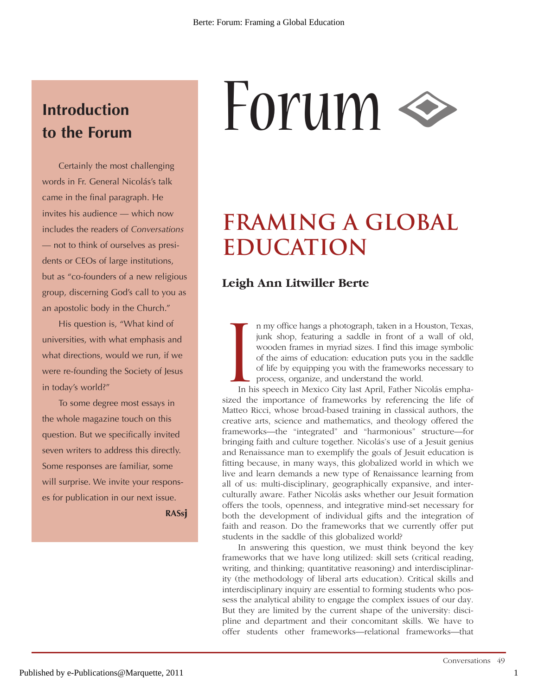# **Introduction**

Certainly the most challenging words in Fr. General Nicolás's talk came in the final paragraph. He invites his audience — which now includes the readers of *Conversations* — not to think of ourselves as presidents or CEOs of large institutions, but as "co-founders of a new religious group, discerning God's call to you as an apostolic body in the Church."

His question is, "What kind of universities, with what emphasis and what directions, would we run, if we were re-founding the Society of Jesus in today's world?"

To some degree most essays in the whole magazine touch on this question. But we specifically invited seven writers to address this directly. Some responses are familiar, some will surprise. We invite your responses for publication in our next issue.

**RASsj**

# Introduction<br>to the Forum<br> $\frac{1}{2}$  **FOYUM**

## **Framing a Global Education**

### **Leigh Ann Litwiller Berte**

I n my office hangs a photograph, taken in a Houston, Texas, junk shop, featuring a saddle in front of a wall of old, wooden frames in myriad sizes. I find this image symbolic of the aims of education: education puts you in the saddle of life by equipping you with the frameworks necessary to process, organize, and understand the world.

In his speech in Mexico City last April, Father Nicolás emphasized the importance of frameworks by referencing the life of Matteo Ricci, whose broad-based training in classical authors, the creative arts, science and mathematics, and theology offered the frameworks—the "integrated" and "harmonious" structure—for bringing faith and culture together. Nicolás's use of a Jesuit genius and Renaissance man to exemplify the goals of Jesuit education is fitting because, in many ways, this globalized world in which we live and learn demands a new type of Renaissance learning from all of us: multi-disciplinary, geographically expansive, and interculturally aware. Father Nicolás asks whether our Jesuit formation offers the tools, openness, and integrative mind-set necessary for both the development of individual gifts and the integration of faith and reason. Do the frameworks that we currently offer put students in the saddle of this globalized world?

In answering this question, we must think beyond the key frameworks that we have long utilized: skill sets (critical reading, writing, and thinking; quantitative reasoning) and interdisciplinarity (the methodology of liberal arts education). Critical skills and interdisciplinary inquiry are essential to forming students who possess the analytical ability to engage the complex issues of our day. But they are limited by the current shape of the university: discipline and department and their concomitant skills. We have to offer students other frameworks—relational frameworks—that